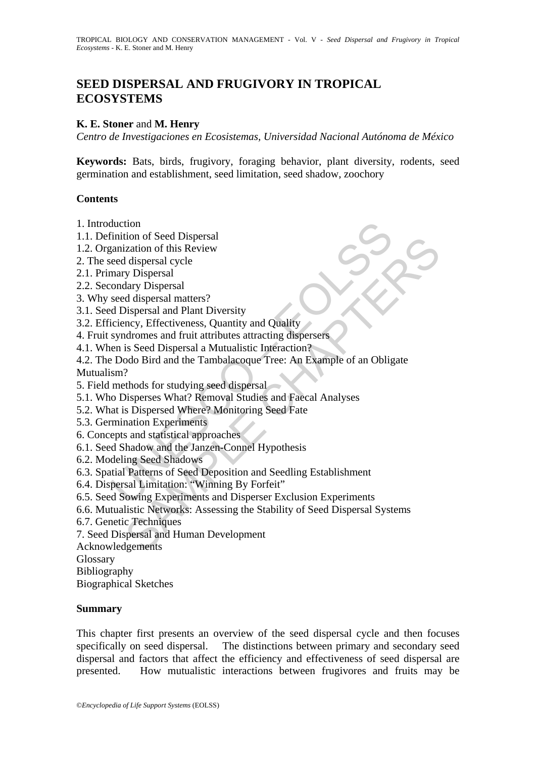# **SEED DISPERSAL AND FRUGIVORY IN TROPICAL ECOSYSTEMS**

#### **K. E. Stoner** and **M. Henry**

*Centro de Investigaciones en Ecosistemas, Universidad Nacional Autónoma de México* 

**Keywords:** Bats, birds, frugivory, foraging behavior, plant diversity, rodents, seed germination and establishment, seed limitation, seed shadow, zoochory

#### **Contents**

- 1. Introduction
- 1.1. Definition of Seed Dispersal
- 1.2. Organization of this Review
- 2. The seed dispersal cycle
- 2.1. Primary Dispersal
- 2.2. Secondary Dispersal
- 3. Why seed dispersal matters?
- 3.1. Seed Dispersal and Plant Diversity
- 3.2. Efficiency, Effectiveness, Quantity and Quality
- 4. Fruit syndromes and fruit attributes attracting dispersers
- 4.1. When is Seed Dispersal a Mutualistic Interaction?
- duction<br>
dimition of Seed Dispersal<br>
rainization of this Review<br>
ereed dispersal cycle<br>
mary Dispersal<br>
condary Dispersal<br>
condary Dispersal<br>
condary Dispersal<br>
condary Dispersal<br>
condary Dispersal<br>
recentless, Quantity an non or beed Dispersia<br>
ization of this Review<br>
Ization of this Review<br>
I dispersal are<br>
dispersal and Plant Diversity<br>
dispersal and Plant Diversity<br>
dispersal and Plant Diversity<br>
is Seed Dispersal and that attraction and 4.2. The Dodo Bird and the Tambalacoque Tree: An Example of an Obligate Mutualism?
- 5. Field methods for studying seed dispersal
- 5.1. Who Disperses What? Removal Studies and Faecal Analyses
- 5.2. What is Dispersed Where? Monitoring Seed Fate
- 5.3. Germination Experiments
- 6. Concepts and statistical approaches
- 6.1. Seed Shadow and the Janzen-Connel Hypothesis
- 6.2. Modeling Seed Shadows
- 6.3. Spatial Patterns of Seed Deposition and Seedling Establishment
- 6.4. Dispersal Limitation: "Winning By Forfeit"
- 6.5. Seed Sowing Experiments and Disperser Exclusion Experiments
- 6.6. Mutualistic Networks: Assessing the Stability of Seed Dispersal Systems
- 6.7. Genetic Techniques
- 7. Seed Dispersal and Human Development
- Acknowledgements

Glossary

Bibliography

Biographical Sketches

#### **Summary**

This chapter first presents an overview of the seed dispersal cycle and then focuses specifically on seed dispersal. The distinctions between primary and secondary seed dispersal and factors that affect the efficiency and effectiveness of seed dispersal are presented. How mutualistic interactions between frugivores and fruits may be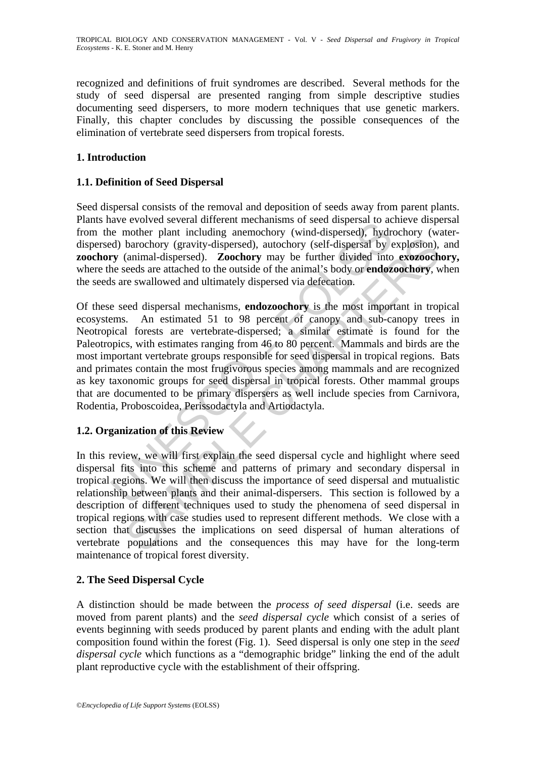recognized and definitions of fruit syndromes are described. Several methods for the study of seed dispersal are presented ranging from simple descriptive studies documenting seed dispersers, to more modern techniques that use genetic markers. Finally, this chapter concludes by discussing the possible consequences of the elimination of vertebrate seed dispersers from tropical forests.

## **1. Introduction**

### **1.1. Definition of Seed Dispersal**

Seed dispersal consists of the removal and deposition of seeds away from parent plants. Plants have evolved several different mechanisms of seed dispersal to achieve dispersal from the mother plant including anemochory (wind-dispersed), hydrochory (waterdispersed) barochory (gravity-dispersed), autochory (self-dispersal by explosion), and **zoochory** (animal-dispersed). **Zoochory** may be further divided into **exozoochory,**  where the seeds are attached to the outside of the animal's body or **endozoochory**, when the seeds are swallowed and ultimately dispersed via defecation.

and the model with the meantly all the seed dispersal of account the moment meantly bare and the more in the more in the more and the meantly (wind-dispersed), hydred) barochory (gravity-dispersed), autochory (self-dispers barochory (gravity-dispersed), autochory (self-dispersal by explosion), barochory (gravity-dispersed), autochory (self-dispersal by explosion), (animal-dispersed). **Zoochory** may be further divided into **exozooch** are atta Of these seed dispersal mechanisms, **endozoochory** is the most important in tropical ecosystems. An estimated 51 to 98 percent of canopy and sub-canopy trees in Neotropical forests are vertebrate-dispersed; a similar estimate is found for the Paleotropics, with estimates ranging from 46 to 80 percent. Mammals and birds are the most important vertebrate groups responsible for seed dispersal in tropical regions. Bats and primates contain the most frugivorous species among mammals and are recognized as key taxonomic groups for seed dispersal in tropical forests. Other mammal groups that are documented to be primary dispersers as well include species from Carnivora, Rodentia, Proboscoidea, Perissodactyla and Artiodactyla.

## **1.2. Organization of this Review**

In this review, we will first explain the seed dispersal cycle and highlight where seed dispersal fits into this scheme and patterns of primary and secondary dispersal in tropical regions. We will then discuss the importance of seed dispersal and mutualistic relationship between plants and their animal-dispersers. This section is followed by a description of different techniques used to study the phenomena of seed dispersal in tropical regions with case studies used to represent different methods. We close with a section that discusses the implications on seed dispersal of human alterations of vertebrate populations and the consequences this may have for the long-term maintenance of tropical forest diversity.

## **2. The Seed Dispersal Cycle**

A distinction should be made between the *process of seed dispersal* (i.e. seeds are moved from parent plants) and the *seed dispersal cycle* which consist of a series of events beginning with seeds produced by parent plants and ending with the adult plant composition found within the forest (Fig. 1). Seed dispersal is only one step in the *seed dispersal cycle* which functions as a "demographic bridge" linking the end of the adult plant reproductive cycle with the establishment of their offspring.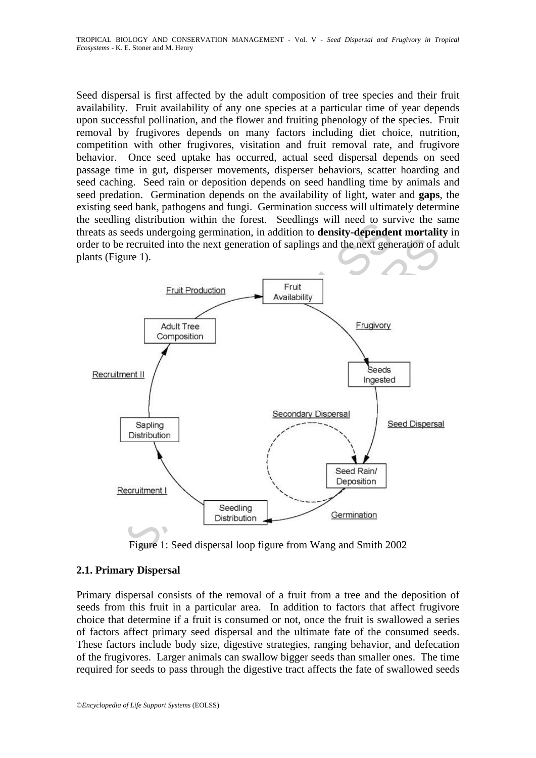Seed dispersal is first affected by the adult composition of tree species and their fruit availability. Fruit availability of any one species at a particular time of year depends upon successful pollination, and the flower and fruiting phenology of the species. Fruit removal by frugivores depends on many factors including diet choice, nutrition, competition with other frugivores, visitation and fruit removal rate, and frugivore behavior. Once seed uptake has occurred, actual seed dispersal depends on seed passage time in gut, disperser movements, disperser behaviors, scatter hoarding and seed caching. Seed rain or deposition depends on seed handling time by animals and seed predation. Germination depends on the availability of light, water and **gaps**, the existing seed bank, pathogens and fungi. Germination success will ultimately determine the seedling distribution within the forest. Seedlings will need to survive the same threats as seeds undergoing germination, in addition to **density-dependent mortality** in order to be recruited into the next generation of saplings and the next generation of adult plants (Figure 1).



Figure 1: Seed dispersal loop figure from Wang and Smith 2002

## **2.1. Primary Dispersal**

Primary dispersal consists of the removal of a fruit from a tree and the deposition of seeds from this fruit in a particular area. In addition to factors that affect frugivore choice that determine if a fruit is consumed or not, once the fruit is swallowed a series of factors affect primary seed dispersal and the ultimate fate of the consumed seeds. These factors include body size, digestive strategies, ranging behavior, and defecation of the frugivores. Larger animals can swallow bigger seeds than smaller ones. The time required for seeds to pass through the digestive tract affects the fate of swallowed seeds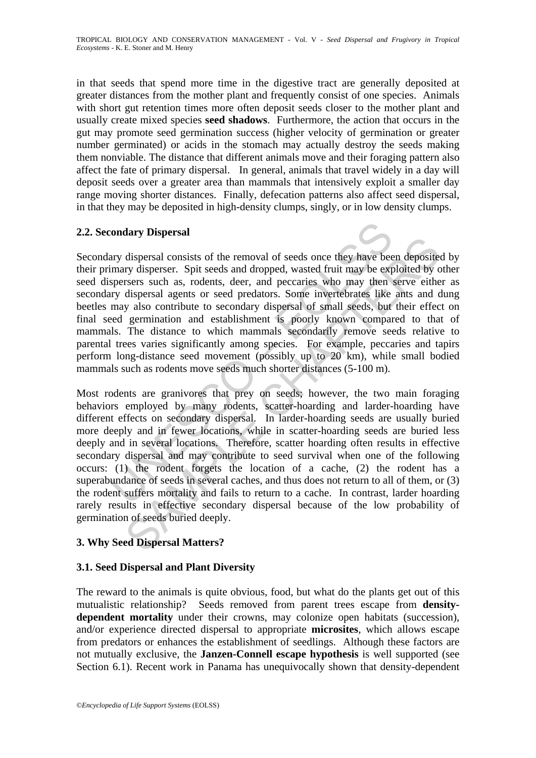in that seeds that spend more time in the digestive tract are generally deposited at greater distances from the mother plant and frequently consist of one species. Animals with short gut retention times more often deposit seeds closer to the mother plant and usually create mixed species **seed shadows**. Furthermore, the action that occurs in the gut may promote seed germination success (higher velocity of germination or greater number germinated) or acids in the stomach may actually destroy the seeds making them nonviable. The distance that different animals move and their foraging pattern also affect the fate of primary dispersal. In general, animals that travel widely in a day will deposit seeds over a greater area than mammals that intensively exploit a smaller day range moving shorter distances. Finally, defecation patterns also affect seed dispersal, in that they may be deposited in high-density clumps, singly, or in low density clumps.

## **2.2. Secondary Dispersal**

condary Dispersal<br>any dispersal consists of the removal of seeds once they have bee<br>mary disperser. Spit seeds and dropped, wasted fruit may be expersers such as, rodents, deer, and peccaries who may then in<br>gyrdy dispersa Secondary dispersal consists of the removal of seeds once they have been deposited by their primary disperser. Spit seeds and dropped, wasted fruit may be exploited by other seed dispersers such as, rodents, deer, and peccaries who may then serve either as secondary dispersal agents or seed predators. Some invertebrates like ants and dung beetles may also contribute to secondary dispersal of small seeds, but their effect on final seed germination and establishment is poorly known compared to that of mammals. The distance to which mammals secondarily remove seeds relative to parental trees varies significantly among species. For example, peccaries and tapirs perform long-distance seed movement (possibly up to 20 km), while small bodied mammals such as rodents move seeds much shorter distances (5-100 m).

any surprises of the removal of seeds once they have been deposited dispersal consists of the removal of seeds once they have been deposited by cy dispersal agents or seed predators. Some invertebrates like ants and or y a Most rodents are granivores that prey on seeds; however, the two main foraging behaviors employed by many rodents, scatter-hoarding and larder-hoarding have different effects on secondary dispersal. In larder-hoarding seeds are usually buried more deeply and in fewer locations, while in scatter-hoarding seeds are buried less deeply and in several locations. Therefore, scatter hoarding often results in effective secondary dispersal and may contribute to seed survival when one of the following occurs: (1) the rodent forgets the location of a cache, (2) the rodent has a superabundance of seeds in several caches, and thus does not return to all of them, or (3) the rodent suffers mortality and fails to return to a cache. In contrast, larder hoarding rarely results in effective secondary dispersal because of the low probability of germination of seeds buried deeply.

#### **3. Why Seed Dispersal Matters?**

### **3.1. Seed Dispersal and Plant Diversity**

The reward to the animals is quite obvious, food, but what do the plants get out of this mutualistic relationship? Seeds removed from parent trees escape from **densitydependent mortality** under their crowns, may colonize open habitats (succession), and/or experience directed dispersal to appropriate **microsites**, which allows escape from predators or enhances the establishment of seedlings. Although these factors are not mutually exclusive, the **Janzen-Connell escape hypothesis** is well supported (see Section 6.1). Recent work in Panama has unequivocally shown that density-dependent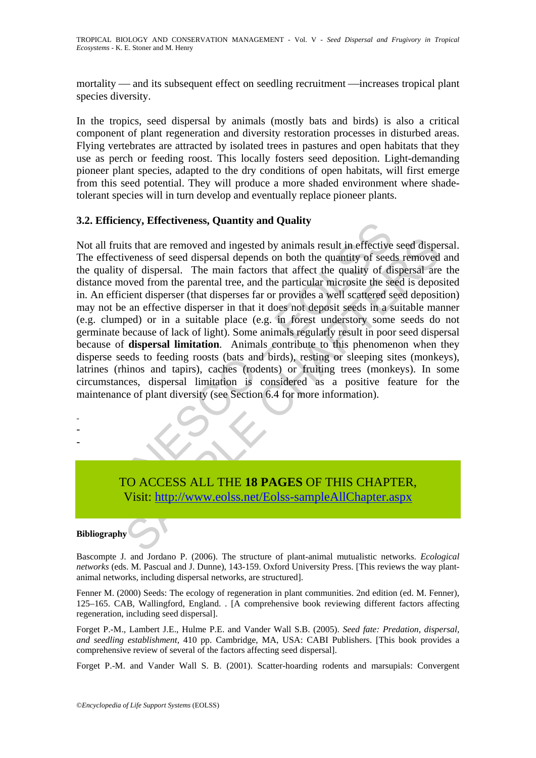mortality — and its subsequent effect on seedling recruitment —increases tropical plant species diversity.

In the tropics, seed dispersal by animals (mostly bats and birds) is also a critical component of plant regeneration and diversity restoration processes in disturbed areas. Flying vertebrates are attracted by isolated trees in pastures and open habitats that they use as perch or feeding roost. This locally fosters seed deposition. Light-demanding pioneer plant species, adapted to the dry conditions of open habitats, will first emerge from this seed potential. They will produce a more shaded environment where shadetolerant species will in turn develop and eventually replace pioneer plants.

#### **3.2. Efficiency, Effectiveness, Quantity and Quality**

The Secure Constrainers and implement of the MAGES OF THIS CHAPT<br>Truist that are removed and ingested by animals result in effective<br>ectiveness of seed dispersal depends on both the quantity of each<br>tity of dispersal. The its that are removed and ingested by animals result in effective seed dispersens of seed dispersal depends on both the quantity of seeds removed over dispersal. The main factors that affect the quality of dispersal are ove Not all fruits that are removed and ingested by animals result in effective seed dispersal. The effectiveness of seed dispersal depends on both the quantity of seeds removed and the quality of dispersal. The main factors that affect the quality of dispersal are the distance moved from the parental tree, and the particular microsite the seed is deposited in. An efficient disperser (that disperses far or provides a well scattered seed deposition) may not be an effective disperser in that it does not deposit seeds in a suitable manner (e.g. clumped) or in a suitable place (e.g. in forest understory some seeds do not germinate because of lack of light). Some animals regularly result in poor seed dispersal because of **dispersal limitation**. Animals contribute to this phenomenon when they disperse seeds to feeding roosts (bats and birds), resting or sleeping sites (monkeys), latrines (rhinos and tapirs), caches (rodents) or fruiting trees (monkeys). In some circumstances, dispersal limitation is considered as a positive feature for the maintenance of plant diversity (see Section 6.4 for more information).

TO ACCESS ALL THE **18 PAGES** OF THIS CHAPTER, Visit: http://www.eolss.net/Eolss-sampleAllChapter.aspx

#### **Bibliography**

- - -

Bascompte J. and Jordano P. (2006). The structure of plant-animal mutualistic networks. *Ecological networks* (eds. M. Pascual and J. Dunne), 143-159. Oxford University Press. [This reviews the way plantanimal networks, including dispersal networks, are structured].

Fenner M. (2000) Seeds: The ecology of regeneration in plant communities. 2nd edition (ed. M. Fenner), 125–165. CAB, Wallingford, England. . [A comprehensive book reviewing different factors affecting regeneration, including seed dispersal].

Forget P.-M., Lambert J.E., Hulme P.E. and Vander Wall S.B. (2005). *Seed fate: Predation, dispersal, and seedling establishment,* 410 pp. Cambridge, MA, USA: CABI Publishers. [This book provides a comprehensive review of several of the factors affecting seed dispersal].

Forget P.-M. and Vander Wall S. B. (2001). Scatter-hoarding rodents and marsupials: Convergent